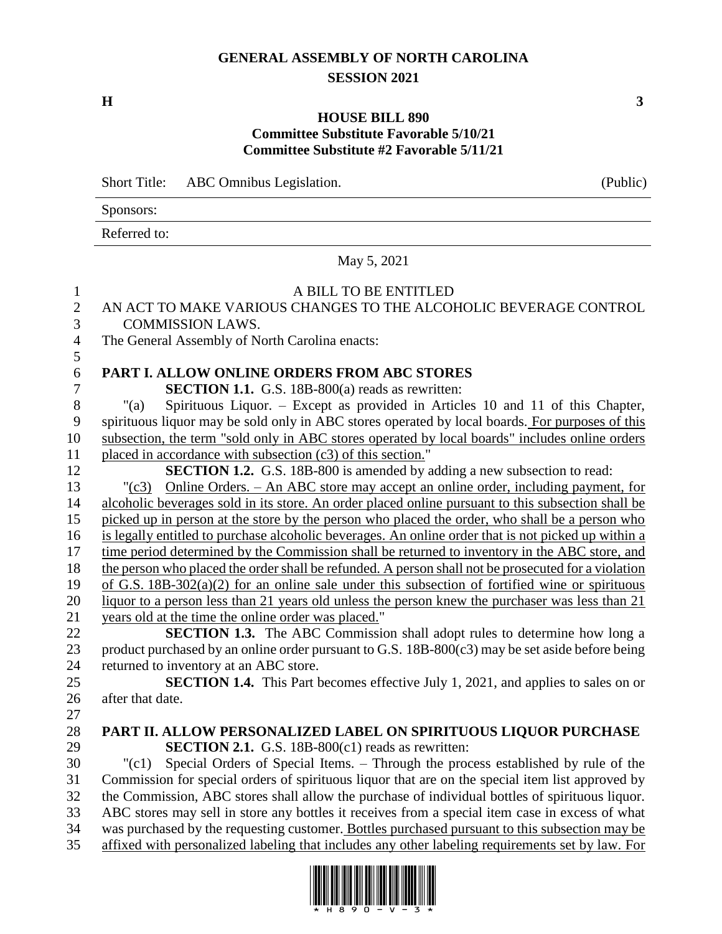# **GENERAL ASSEMBLY OF NORTH CAROLINA SESSION 2021**

**H 3**

#### **HOUSE BILL 890 Committee Substitute Favorable 5/10/21 Committee Substitute #2 Favorable 5/11/21**

Short Title: ABC Omnibus Legislation. (Public)

Sponsors:

Referred to:

|                                     | May 5, 2021                                                                                                                                                                                         |
|-------------------------------------|-----------------------------------------------------------------------------------------------------------------------------------------------------------------------------------------------------|
| $\mathbf{1}$<br>$\overline{2}$<br>3 | A BILL TO BE ENTITLED<br>AN ACT TO MAKE VARIOUS CHANGES TO THE ALCOHOLIC BEVERAGE CONTROL<br><b>COMMISSION LAWS.</b>                                                                                |
| $\overline{4}$                      | The General Assembly of North Carolina enacts:                                                                                                                                                      |
| 5                                   |                                                                                                                                                                                                     |
| 6                                   | PART I. ALLOW ONLINE ORDERS FROM ABC STORES                                                                                                                                                         |
| $\tau$                              | <b>SECTION 1.1.</b> G.S. 18B-800(a) reads as rewritten:                                                                                                                                             |
| 8                                   | Spirituous Liquor. – Except as provided in Articles 10 and 11 of this Chapter,<br>"(a)                                                                                                              |
| 9                                   | spirituous liquor may be sold only in ABC stores operated by local boards. For purposes of this                                                                                                     |
| 10                                  | subsection, the term "sold only in ABC stores operated by local boards" includes online orders                                                                                                      |
| 11                                  | placed in accordance with subsection (c3) of this section."                                                                                                                                         |
| 12                                  | <b>SECTION 1.2.</b> G.S. 18B-800 is amended by adding a new subsection to read:                                                                                                                     |
| 13<br>14                            | Online Orders. - An ABC store may accept an online order, including payment, for<br>$"({c}3)$<br>alcoholic beverages sold in its store. An order placed online pursuant to this subsection shall be |
| 15                                  | picked up in person at the store by the person who placed the order, who shall be a person who                                                                                                      |
| 16                                  | is legally entitled to purchase alcoholic beverages. An online order that is not picked up within a                                                                                                 |
| 17                                  | time period determined by the Commission shall be returned to inventory in the ABC store, and                                                                                                       |
| 18                                  | the person who placed the order shall be refunded. A person shall not be prosecuted for a violation                                                                                                 |
| 19                                  | of G.S. $18B-302(a)(2)$ for an online sale under this subsection of fortified wine or spirituous                                                                                                    |
| 20                                  | liquor to a person less than 21 years old unless the person knew the purchaser was less than 21                                                                                                     |
| 21                                  | years old at the time the online order was placed."                                                                                                                                                 |
| 22                                  | <b>SECTION 1.3.</b> The ABC Commission shall adopt rules to determine how long a                                                                                                                    |
| 23                                  | product purchased by an online order pursuant to G.S. 18B-800(c3) may be set aside before being                                                                                                     |
| 24                                  | returned to inventory at an ABC store.                                                                                                                                                              |
| 25                                  | <b>SECTION 1.4.</b> This Part becomes effective July 1, 2021, and applies to sales on or                                                                                                            |
| 26                                  | after that date.                                                                                                                                                                                    |
| 27                                  |                                                                                                                                                                                                     |
| 28                                  | PART II. ALLOW PERSONALIZED LABEL ON SPIRITUOUS LIQUOR PURCHASE                                                                                                                                     |
| 29                                  | <b>SECTION 2.1.</b> G.S. 18B-800 $(c1)$ reads as rewritten:                                                                                                                                         |
| 30                                  | Special Orders of Special Items. - Through the process established by rule of the<br>"(c1)                                                                                                          |
| 31                                  | Commission for special orders of spirituous liquor that are on the special item list approved by                                                                                                    |
| 32                                  | the Commission, ABC stores shall allow the purchase of individual bottles of spirituous liquor.                                                                                                     |
| 33                                  | ABC stores may sell in store any bottles it receives from a special item case in excess of what                                                                                                     |
| 34                                  | was purchased by the requesting customer. Bottles purchased pursuant to this subsection may be                                                                                                      |
| 35                                  | affixed with personalized labeling that includes any other labeling requirements set by law. For                                                                                                    |
|                                     | I IWAIKII WIKI IWIIN IWIII WAII IIWAI WIINI IIWAKU IIII IWAI                                                                                                                                        |

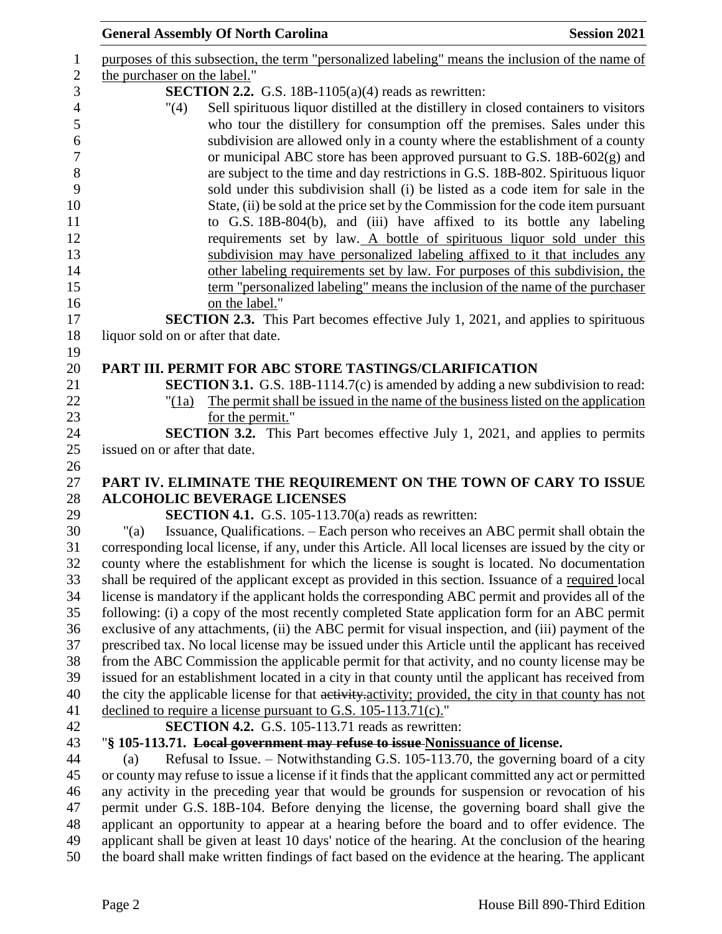| <b>General Assembly Of North Carolina</b>                                                                                                                                                                                              | <b>Session 2021</b> |
|----------------------------------------------------------------------------------------------------------------------------------------------------------------------------------------------------------------------------------------|---------------------|
| purposes of this subsection, the term "personalized labeling" means the inclusion of the name of                                                                                                                                       |                     |
| the purchaser on the label."                                                                                                                                                                                                           |                     |
| <b>SECTION 2.2.</b> G.S. 18B-1105(a)(4) reads as rewritten:<br>Sell spirituous liquor distilled at the distillery in closed containers to visitors<br>"(4)                                                                             |                     |
| who tour the distillery for consumption off the premises. Sales under this<br>subdivision are allowed only in a county where the establishment of a county<br>or municipal ABC store has been approved pursuant to G.S. 18B-602(g) and |                     |
| are subject to the time and day restrictions in G.S. 18B-802. Spirituous liquor<br>sold under this subdivision shall (i) be listed as a code item for sale in the                                                                      |                     |
| State, (ii) be sold at the price set by the Commission for the code item pursuant<br>to G.S. 18B-804(b), and (iii) have affixed to its bottle any labeling                                                                             |                     |
| requirements set by law. A bottle of spirituous liquor sold under this                                                                                                                                                                 |                     |
| subdivision may have personalized labeling affixed to it that includes any                                                                                                                                                             |                     |
| other labeling requirements set by law. For purposes of this subdivision, the                                                                                                                                                          |                     |
| term "personalized labeling" means the inclusion of the name of the purchaser                                                                                                                                                          |                     |
| on the label."<br><b>SECTION 2.3.</b> This Part becomes effective July 1, 2021, and applies to spirituous                                                                                                                              |                     |
| liquor sold on or after that date.                                                                                                                                                                                                     |                     |
|                                                                                                                                                                                                                                        |                     |
| PART III. PERMIT FOR ABC STORE TASTINGS/CLARIFICATION                                                                                                                                                                                  |                     |
| <b>SECTION 3.1.</b> G.S. 18B-1114.7(c) is amended by adding a new subdivision to read:                                                                                                                                                 |                     |
| The permit shall be issued in the name of the business listed on the application<br>"(1a)                                                                                                                                              |                     |
| for the permit."                                                                                                                                                                                                                       |                     |
| <b>SECTION 3.2.</b> This Part becomes effective July 1, 2021, and applies to permits                                                                                                                                                   |                     |
| issued on or after that date.                                                                                                                                                                                                          |                     |
|                                                                                                                                                                                                                                        |                     |
| PART IV. ELIMINATE THE REQUIREMENT ON THE TOWN OF CARY TO ISSUE                                                                                                                                                                        |                     |
| <b>ALCOHOLIC BEVERAGE LICENSES</b>                                                                                                                                                                                                     |                     |
| <b>SECTION 4.1.</b> G.S. 105-113.70(a) reads as rewritten:                                                                                                                                                                             |                     |
| Issuance, Qualifications. – Each person who receives an ABC permit shall obtain the<br>" $(a)$                                                                                                                                         |                     |
| corresponding local license, if any, under this Article. All local licenses are issued by the city or<br>county where the establishment for which the license is sought is located. No documentation                                   |                     |
| shall be required of the applicant except as provided in this section. Issuance of a required local                                                                                                                                    |                     |
| license is mandatory if the applicant holds the corresponding ABC permit and provides all of the                                                                                                                                       |                     |
| following: (i) a copy of the most recently completed State application form for an ABC permit                                                                                                                                          |                     |
| exclusive of any attachments, (ii) the ABC permit for visual inspection, and (iii) payment of the                                                                                                                                      |                     |
| prescribed tax. No local license may be issued under this Article until the applicant has received                                                                                                                                     |                     |
| from the ABC Commission the applicable permit for that activity, and no county license may be                                                                                                                                          |                     |
| issued for an establishment located in a city in that county until the applicant has received from                                                                                                                                     |                     |
| the city the applicable license for that activity, activity; provided, the city in that county has not                                                                                                                                 |                     |
| declined to require a license pursuant to G.S. 105-113.71(c)."                                                                                                                                                                         |                     |
| <b>SECTION 4.2.</b> G.S. 105-113.71 reads as rewritten:                                                                                                                                                                                |                     |
| "\\$ 105-113.71. Local government may refuse to issue Nonissuance of license.                                                                                                                                                          |                     |
| Refusal to Issue. - Notwithstanding G.S. 105-113.70, the governing board of a city<br>(a)                                                                                                                                              |                     |
| or county may refuse to issue a license if it finds that the applicant committed any act or permitted                                                                                                                                  |                     |
| any activity in the preceding year that would be grounds for suspension or revocation of his                                                                                                                                           |                     |
| permit under G.S. 18B-104. Before denying the license, the governing board shall give the                                                                                                                                              |                     |
| applicant an opportunity to appear at a hearing before the board and to offer evidence. The<br>applicant shall be given at least 10 days' notice of the hearing. At the conclusion of the hearing                                      |                     |
| the board shall make written findings of fact based on the evidence at the hearing. The applicant                                                                                                                                      |                     |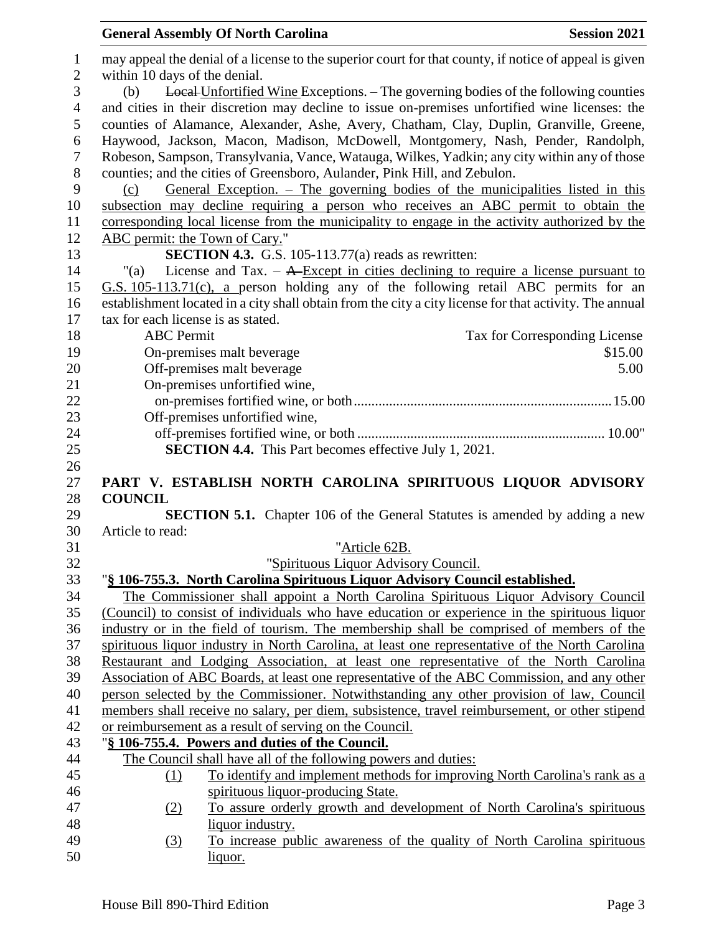| $\mathbf{1}$   | may appeal the denial of a license to the superior court for that county, if notice of appeal is given  |
|----------------|---------------------------------------------------------------------------------------------------------|
| $\overline{2}$ | within 10 days of the denial.                                                                           |
| 3              | Local Unfortified Wine Exceptions. - The governing bodies of the following counties<br>(b)              |
| $\overline{4}$ | and cities in their discretion may decline to issue on-premises unfortified wine licenses: the          |
| 5              | counties of Alamance, Alexander, Ashe, Avery, Chatham, Clay, Duplin, Granville, Greene,                 |
| 6              | Haywood, Jackson, Macon, Madison, McDowell, Montgomery, Nash, Pender, Randolph,                         |
| $\tau$         | Robeson, Sampson, Transylvania, Vance, Watauga, Wilkes, Yadkin; any city within any of those            |
| 8              | counties; and the cities of Greensboro, Aulander, Pink Hill, and Zebulon.                               |
| 9              | <u>General Exception. – The governing bodies of the municipalities listed in this</u><br>(c)            |
| 10             | subsection may decline requiring a person who receives an ABC permit to obtain the                      |
| 11             | corresponding local license from the municipality to engage in the activity authorized by the           |
| 12             | ABC permit: the Town of Cary."                                                                          |
| 13             | <b>SECTION 4.3.</b> G.S. 105-113.77(a) reads as rewritten:                                              |
| 14             | License and Tax. $-$ A-Except in cities declining to require a license pursuant to<br>"(a)              |
| 15             | G.S. 105-113.71(c), a person holding any of the following retail ABC permits for an                     |
| 16             | establishment located in a city shall obtain from the city a city license for that activity. The annual |
| 17             | tax for each license is as stated.                                                                      |
| 18             | <b>ABC</b> Permit<br>Tax for Corresponding License                                                      |
| 19             | On-premises malt beverage<br>\$15.00                                                                    |
| 20             | Off-premises malt beverage<br>5.00                                                                      |
| 21             | On-premises unfortified wine,                                                                           |
| 22             |                                                                                                         |
| 23             | Off-premises unfortified wine,                                                                          |
| 24             |                                                                                                         |
| 25             | <b>SECTION 4.4.</b> This Part becomes effective July 1, 2021.                                           |
|                |                                                                                                         |
| 26             |                                                                                                         |
| 27             | PART V. ESTABLISH NORTH CAROLINA SPIRITUOUS LIQUOR ADVISORY                                             |
| 28             | <b>COUNCIL</b>                                                                                          |
| 29             | <b>SECTION 5.1.</b> Chapter 106 of the General Statutes is amended by adding a new                      |
| 30             | Article to read:                                                                                        |
| 31             | "Article 62B.                                                                                           |
| 32             | "Spirituous Liquor Advisory Council.                                                                    |
| 33             | "§ 106-755.3. North Carolina Spirituous Liquor Advisory Council established.                            |
| 34             | The Commissioner shall appoint a North Carolina Spirituous Liquor Advisory Council                      |
| 35             | (Council) to consist of individuals who have education or experience in the spirituous liquor           |
| 36             | industry or in the field of tourism. The membership shall be comprised of members of the                |
| 37             | spirituous liquor industry in North Carolina, at least one representative of the North Carolina         |
| 38             | Restaurant and Lodging Association, at least one representative of the North Carolina                   |
| 39             | Association of ABC Boards, at least one representative of the ABC Commission, and any other             |
| 40             | person selected by the Commissioner. Notwithstanding any other provision of law, Council                |
| 41             | members shall receive no salary, per diem, subsistence, travel reimbursement, or other stipend          |
| 42             | or reimbursement as a result of serving on the Council.                                                 |
| 43             | "§ 106-755.4. Powers and duties of the Council.                                                         |
| 44             | The Council shall have all of the following powers and duties:                                          |
| 45             | To identify and implement methods for improving North Carolina's rank as a<br>(1)                       |
| 46             | spirituous liquor-producing State.                                                                      |
| 47             | To assure orderly growth and development of North Carolina's spirituous<br>(2)                          |
| 48             | liquor industry.                                                                                        |
| 49<br>50       | To increase public awareness of the quality of North Carolina spirituous<br>(3)<br><u>liquor.</u>       |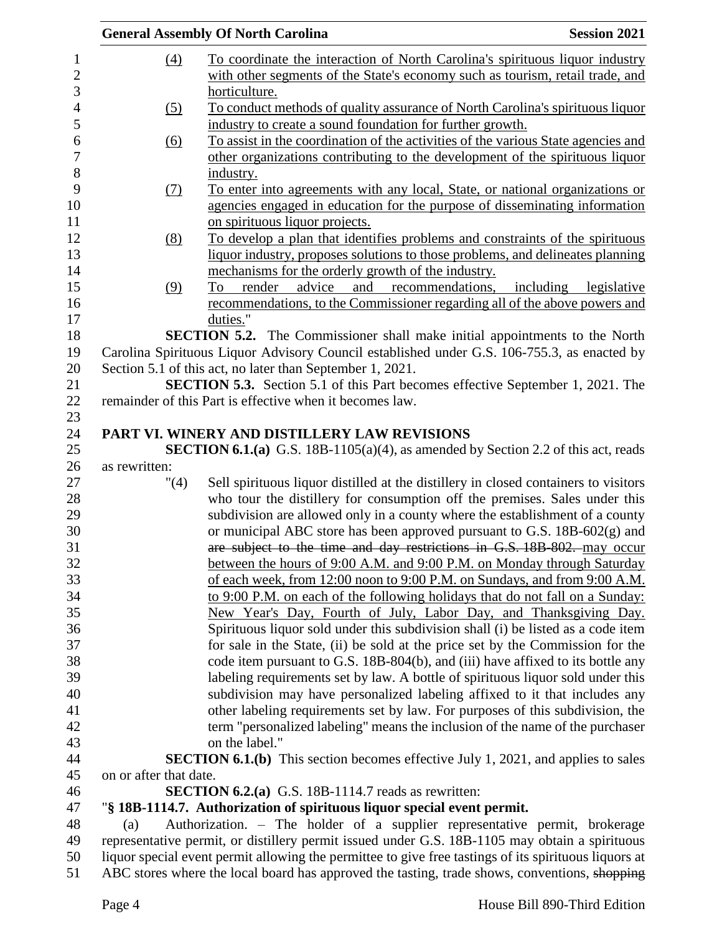|                        | <b>General Assembly Of North Carolina</b>                                                             | <b>Session 2021</b>      |
|------------------------|-------------------------------------------------------------------------------------------------------|--------------------------|
| $\left(4\right)$       | To coordinate the interaction of North Carolina's spirituous liquor industry                          |                          |
|                        | with other segments of the State's economy such as tourism, retail trade, and                         |                          |
|                        | horticulture.                                                                                         |                          |
| (5)                    | To conduct methods of quality assurance of North Carolina's spirituous liquor                         |                          |
|                        | industry to create a sound foundation for further growth.                                             |                          |
| (6)                    | To assist in the coordination of the activities of the various State agencies and                     |                          |
|                        | other organizations contributing to the development of the spirituous liquor                          |                          |
|                        | industry.                                                                                             |                          |
| $\Omega$               | To enter into agreements with any local, State, or national organizations or                          |                          |
|                        | agencies engaged in education for the purpose of disseminating information                            |                          |
|                        | on spirituous liquor projects.                                                                        |                          |
| (8)                    | To develop a plan that identifies problems and constraints of the spirituous                          |                          |
|                        | liquor industry, proposes solutions to those problems, and delineates planning                        |                          |
|                        | mechanisms for the orderly growth of the industry.                                                    |                          |
| (9)                    | and recommendations,<br>render advice<br>To                                                           | including<br>legislative |
|                        | recommendations, to the Commissioner regarding all of the above powers and                            |                          |
|                        | duties."                                                                                              |                          |
|                        | SECTION 5.2. The Commissioner shall make initial appointments to the North                            |                          |
|                        | Carolina Spirituous Liquor Advisory Council established under G.S. 106-755.3, as enacted by           |                          |
|                        | Section 5.1 of this act, no later than September 1, 2021.                                             |                          |
|                        | <b>SECTION 5.3.</b> Section 5.1 of this Part becomes effective September 1, 2021. The                 |                          |
|                        | remainder of this Part is effective when it becomes law.                                              |                          |
|                        |                                                                                                       |                          |
|                        | PART VI. WINERY AND DISTILLERY LAW REVISIONS                                                          |                          |
|                        | <b>SECTION 6.1.(a)</b> G.S. 18B-1105(a)(4), as amended by Section 2.2 of this act, reads              |                          |
| as rewritten:          |                                                                                                       |                          |
| $^{\prime\prime}(4)$   | Sell spirituous liquor distilled at the distillery in closed containers to visitors                   |                          |
|                        | who tour the distillery for consumption off the premises. Sales under this                            |                          |
|                        | subdivision are allowed only in a county where the establishment of a county                          |                          |
|                        | or municipal ABC store has been approved pursuant to G.S. 18B-602(g) and                              |                          |
|                        | are subject to the time and day restrictions in G.S. 18B-802. may occur                               |                          |
|                        | between the hours of 9:00 A.M. and 9:00 P.M. on Monday through Saturday                               |                          |
|                        | of each week, from 12:00 noon to 9:00 P.M. on Sundays, and from 9:00 A.M.                             |                          |
|                        | to 9:00 P.M. on each of the following holidays that do not fall on a Sunday:                          |                          |
|                        | New Year's Day, Fourth of July, Labor Day, and Thanksgiving Day.                                      |                          |
|                        | Spirituous liquor sold under this subdivision shall (i) be listed as a code item                      |                          |
|                        | for sale in the State, (ii) be sold at the price set by the Commission for the                        |                          |
|                        | code item pursuant to G.S. 18B-804(b), and (iii) have affixed to its bottle any                       |                          |
|                        | labeling requirements set by law. A bottle of spirituous liquor sold under this                       |                          |
|                        | subdivision may have personalized labeling affixed to it that includes any                            |                          |
|                        | other labeling requirements set by law. For purposes of this subdivision, the                         |                          |
|                        | term "personalized labeling" means the inclusion of the name of the purchaser                         |                          |
|                        | on the label."                                                                                        |                          |
|                        | <b>SECTION 6.1.(b)</b> This section becomes effective July 1, 2021, and applies to sales              |                          |
| on or after that date. |                                                                                                       |                          |
|                        | <b>SECTION 6.2.(a)</b> G.S. 18B-1114.7 reads as rewritten:                                            |                          |
|                        | "§ 18B-1114.7. Authorization of spirituous liquor special event permit.                               |                          |
| (a)                    | Authorization. - The holder of a supplier representative permit, brokerage                            |                          |
|                        | representative permit, or distillery permit issued under G.S. 18B-1105 may obtain a spirituous        |                          |
|                        | liquor special event permit allowing the permittee to give free tastings of its spirituous liquors at |                          |
|                        | ABC stores where the local board has approved the tasting, trade shows, conventions, shopping         |                          |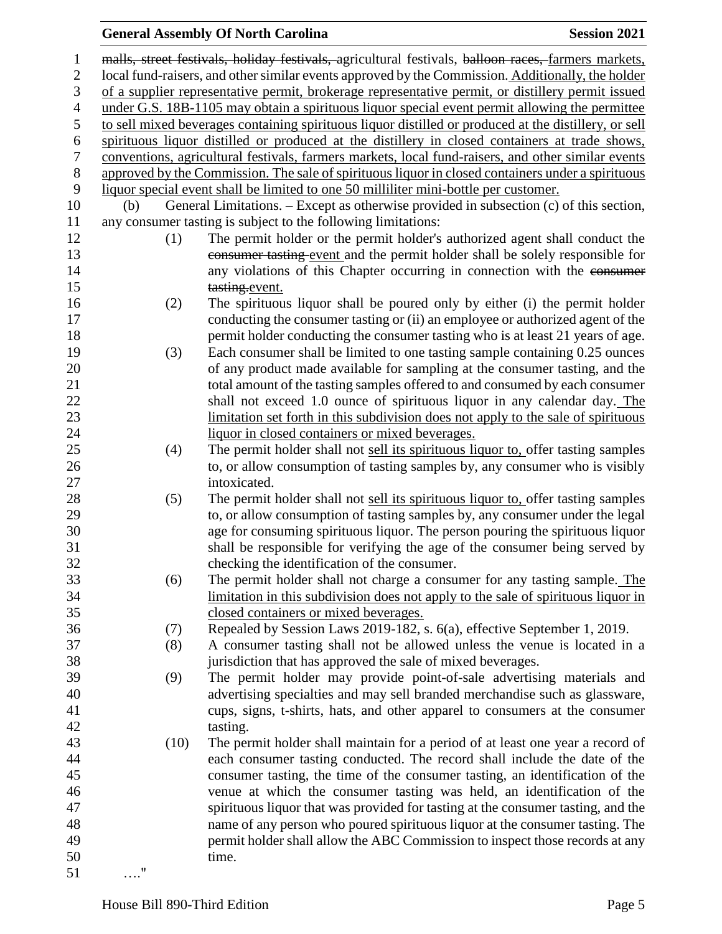### **General Assembly Of North Carolina Session 2021**  malls, street festivals, holiday festivals, agricultural festivals, balloon races, farmers markets, local fund-raisers, and other similar events approved by the Commission. Additionally, the holder of a supplier representative permit, brokerage representative permit, or distillery permit issued under G.S. 18B-1105 may obtain a spirituous liquor special event permit allowing the permittee to sell mixed beverages containing spirituous liquor distilled or produced at the distillery, or sell spirituous liquor distilled or produced at the distillery in closed containers at trade shows, conventions, agricultural festivals, farmers markets, local fund-raisers, and other similar events approved by the Commission. The sale of spirituous liquor in closed containers under a spirituous liquor special event shall be limited to one 50 milliliter mini-bottle per customer. (b) General Limitations. – Except as otherwise provided in subsection (c) of this section, any consumer tasting is subject to the following limitations: (1) The permit holder or the permit holder's authorized agent shall conduct the consumer tasting event and the permit holder shall be solely responsible for 14 any violations of this Chapter occurring in connection with the consumer 15 tasting.event. (2) The spirituous liquor shall be poured only by either (i) the permit holder conducting the consumer tasting or (ii) an employee or authorized agent of the **permitically permit holder conducting the consumer tasting who is at least 21 years of age.**  (3) Each consumer shall be limited to one tasting sample containing 0.25 ounces of any product made available for sampling at the consumer tasting, and the total amount of the tasting samples offered to and consumed by each consumer shall not exceed 1.0 ounce of spirituous liquor in any calendar day. The limitation set forth in this subdivision does not apply to the sale of spirituous liquor in closed containers or mixed beverages. (4) The permit holder shall not sell its spirituous liquor to, offer tasting samples to, or allow consumption of tasting samples by, any consumer who is visibly intoxicated. 28 (5) The permit holder shall not <u>sell its spirituous liquor to</u>, offer tasting samples to, or allow consumption of tasting samples by, any consumer under the legal age for consuming spirituous liquor. The person pouring the spirituous liquor shall be responsible for verifying the age of the consumer being served by checking the identification of the consumer. (6) The permit holder shall not charge a consumer for any tasting sample. The limitation in this subdivision does not apply to the sale of spirituous liquor in closed containers or mixed beverages. (7) Repealed by Session Laws 2019-182, s. 6(a), effective September 1, 2019. (8) A consumer tasting shall not be allowed unless the venue is located in a jurisdiction that has approved the sale of mixed beverages. (9) The permit holder may provide point-of-sale advertising materials and advertising specialties and may sell branded merchandise such as glassware, cups, signs, t-shirts, hats, and other apparel to consumers at the consumer tasting. (10) The permit holder shall maintain for a period of at least one year a record of each consumer tasting conducted. The record shall include the date of the consumer tasting, the time of the consumer tasting, an identification of the venue at which the consumer tasting was held, an identification of the spirituous liquor that was provided for tasting at the consumer tasting, and the name of any person who poured spirituous liquor at the consumer tasting. The

permit holder shall allow the ABC Commission to inspect those records at any

…."

time.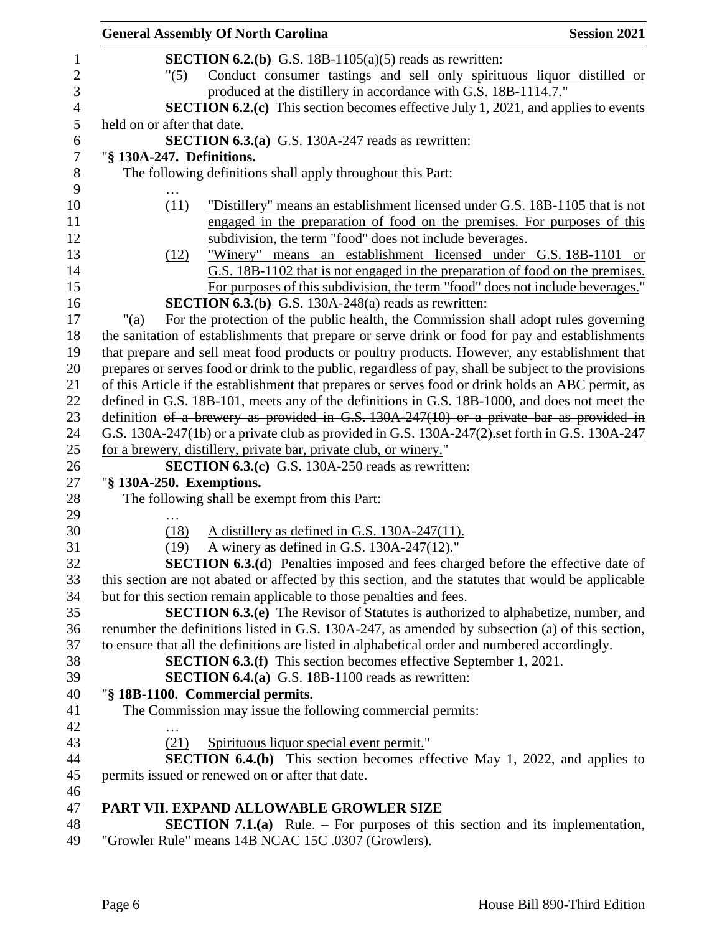| <b>General Assembly Of North Carolina</b>                           | <b>Session 2021</b>                                                                                   |
|---------------------------------------------------------------------|-------------------------------------------------------------------------------------------------------|
|                                                                     | <b>SECTION 6.2.(b)</b> G.S. 18B-1105(a)(5) reads as rewritten:                                        |
| "(5)                                                                | Conduct consumer tastings and sell only spirituous liquor distilled or                                |
|                                                                     | produced at the distillery in accordance with G.S. 18B-1114.7."                                       |
|                                                                     | <b>SECTION 6.2.(c)</b> This section becomes effective July 1, 2021, and applies to events             |
| held on or after that date.                                         |                                                                                                       |
|                                                                     | SECTION 6.3.(a) G.S. 130A-247 reads as rewritten:                                                     |
| "§ 130A-247. Definitions.                                           |                                                                                                       |
| The following definitions shall apply throughout this Part:         |                                                                                                       |
|                                                                     |                                                                                                       |
| (11)                                                                | "Distillery" means an establishment licensed under G.S. 18B-1105 that is not                          |
|                                                                     | engaged in the preparation of food on the premises. For purposes of this                              |
|                                                                     | subdivision, the term "food" does not include beverages.                                              |
| (12)                                                                | "Winery" means an establishment licensed under G.S. 18B-1101 or                                       |
|                                                                     | G.S. 18B-1102 that is not engaged in the preparation of food on the premises.                         |
|                                                                     | For purposes of this subdivision, the term "food" does not include beverages."                        |
|                                                                     | <b>SECTION 6.3.(b)</b> G.S. 130A-248(a) reads as rewritten:                                           |
| " $(a)$                                                             | For the protection of the public health, the Commission shall adopt rules governing                   |
|                                                                     | the sanitation of establishments that prepare or serve drink or food for pay and establishments       |
|                                                                     | that prepare and sell meat food products or poultry products. However, any establishment that         |
|                                                                     | prepares or serves food or drink to the public, regardless of pay, shall be subject to the provisions |
|                                                                     | of this Article if the establishment that prepares or serves food or drink holds an ABC permit, as    |
|                                                                     |                                                                                                       |
|                                                                     | defined in G.S. 18B-101, meets any of the definitions in G.S. 18B-1000, and does not meet the         |
|                                                                     | definition of a brewery as provided in G.S. $130A-247(10)$ or a private bar as provided in            |
|                                                                     | G.S. 130A-247(1b) or a private club as provided in G.S. 130A-247(2) set forth in G.S. 130A-247        |
| for a brewery, distillery, private bar, private club, or winery."   |                                                                                                       |
|                                                                     | <b>SECTION 6.3.(c)</b> G.S. 130A-250 reads as rewritten:                                              |
| "§ 130A-250. Exemptions.                                            |                                                                                                       |
| The following shall be exempt from this Part:                       |                                                                                                       |
|                                                                     |                                                                                                       |
| (18)                                                                | A distillery as defined in G.S. 130A-247(11).                                                         |
| (19)                                                                | A winery as defined in G.S. $130A-247(12)$ ."                                                         |
|                                                                     | <b>SECTION 6.3.(d)</b> Penalties imposed and fees charged before the effective date of                |
|                                                                     | this section are not abated or affected by this section, and the statutes that would be applicable    |
| but for this section remain applicable to those penalties and fees. |                                                                                                       |
|                                                                     | <b>SECTION 6.3.(e)</b> The Revisor of Statutes is authorized to alphabetize, number, and              |
|                                                                     | renumber the definitions listed in G.S. 130A-247, as amended by subsection (a) of this section,       |
|                                                                     | to ensure that all the definitions are listed in alphabetical order and numbered accordingly.         |
|                                                                     | <b>SECTION 6.3.(f)</b> This section becomes effective September 1, 2021.                              |
|                                                                     | <b>SECTION 6.4.(a)</b> G.S. 18B-1100 reads as rewritten:                                              |
| "§ 18B-1100. Commercial permits.                                    |                                                                                                       |
| The Commission may issue the following commercial permits:          |                                                                                                       |
|                                                                     |                                                                                                       |
| (21)                                                                | Spirituous liquor special event permit."                                                              |
|                                                                     | SECTION 6.4.(b) This section becomes effective May 1, 2022, and applies to                            |
| permits issued or renewed on or after that date.                    |                                                                                                       |
|                                                                     |                                                                                                       |
| PART VII. EXPAND ALLOWABLE GROWLER SIZE                             |                                                                                                       |
|                                                                     | <b>SECTION 7.1.(a)</b> Rule. – For purposes of this section and its implementation,                   |

"Growler Rule" means 14B NCAC 15C .0307 (Growlers).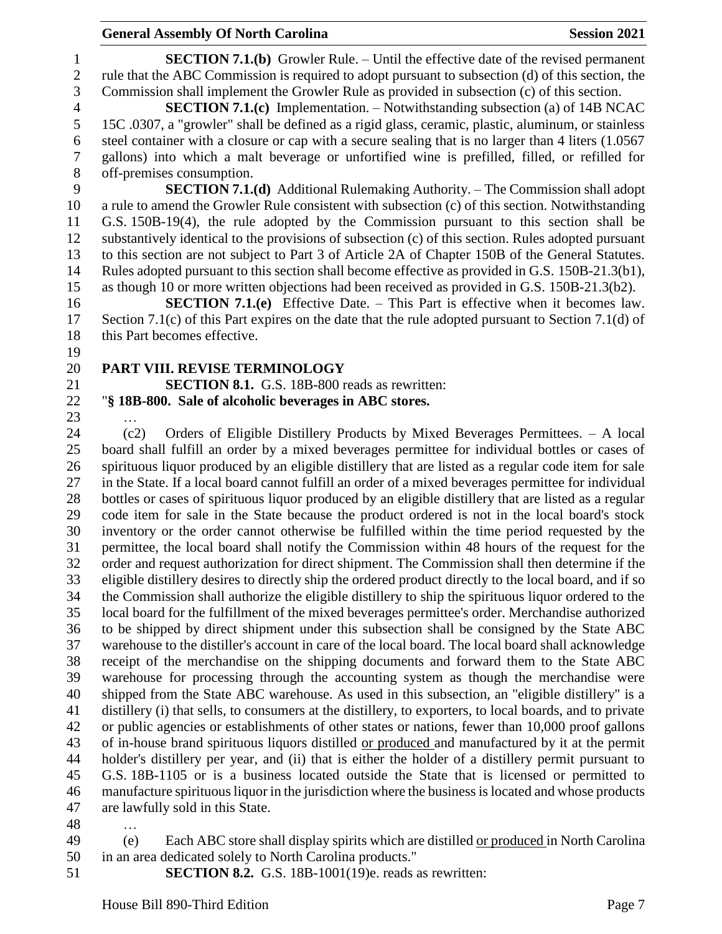#### **General Assembly Of North Carolina Session 2021**

 **SECTION 7.1.(b)** Growler Rule. – Until the effective date of the revised permanent rule that the ABC Commission is required to adopt pursuant to subsection (d) of this section, the Commission shall implement the Growler Rule as provided in subsection (c) of this section.

 **SECTION 7.1.(c)** Implementation. – Notwithstanding subsection (a) of 14B NCAC 15C .0307, a "growler" shall be defined as a rigid glass, ceramic, plastic, aluminum, or stainless steel container with a closure or cap with a secure sealing that is no larger than 4 liters (1.0567 gallons) into which a malt beverage or unfortified wine is prefilled, filled, or refilled for 8 off-premises consumption.<br>9 **SECTION 7.1.** 

 **SECTION 7.1.(d)** Additional Rulemaking Authority. – The Commission shall adopt a rule to amend the Growler Rule consistent with subsection (c) of this section. Notwithstanding G.S. 150B-19(4), the rule adopted by the Commission pursuant to this section shall be substantively identical to the provisions of subsection (c) of this section. Rules adopted pursuant to this section are not subject to Part 3 of Article 2A of Chapter 150B of the General Statutes. Rules adopted pursuant to this section shall become effective as provided in G.S. 150B-21.3(b1), as though 10 or more written objections had been received as provided in G.S. 150B-21.3(b2).

 **SECTION 7.1.(e)** Effective Date. – This Part is effective when it becomes law. Section 7.1(c) of this Part expires on the date that the rule adopted pursuant to Section 7.1(d) of this Part becomes effective.

## **PART VIII. REVISE TERMINOLOGY**

**SECTION 8.1.** G.S. 18B-800 reads as rewritten:

#### "**§ 18B-800. Sale of alcoholic beverages in ABC stores.**

…

 (c2) Orders of Eligible Distillery Products by Mixed Beverages Permittees. – A local board shall fulfill an order by a mixed beverages permittee for individual bottles or cases of spirituous liquor produced by an eligible distillery that are listed as a regular code item for sale in the State. If a local board cannot fulfill an order of a mixed beverages permittee for individual bottles or cases of spirituous liquor produced by an eligible distillery that are listed as a regular code item for sale in the State because the product ordered is not in the local board's stock inventory or the order cannot otherwise be fulfilled within the time period requested by the permittee, the local board shall notify the Commission within 48 hours of the request for the order and request authorization for direct shipment. The Commission shall then determine if the eligible distillery desires to directly ship the ordered product directly to the local board, and if so the Commission shall authorize the eligible distillery to ship the spirituous liquor ordered to the local board for the fulfillment of the mixed beverages permittee's order. Merchandise authorized to be shipped by direct shipment under this subsection shall be consigned by the State ABC warehouse to the distiller's account in care of the local board. The local board shall acknowledge receipt of the merchandise on the shipping documents and forward them to the State ABC warehouse for processing through the accounting system as though the merchandise were shipped from the State ABC warehouse. As used in this subsection, an "eligible distillery" is a distillery (i) that sells, to consumers at the distillery, to exporters, to local boards, and to private or public agencies or establishments of other states or nations, fewer than 10,000 proof gallons of in-house brand spirituous liquors distilled or produced and manufactured by it at the permit holder's distillery per year, and (ii) that is either the holder of a distillery permit pursuant to G.S. 18B-1105 or is a business located outside the State that is licensed or permitted to manufacture spirituous liquor in the jurisdiction where the business is located and whose products are lawfully sold in this State.

- …
- (e) Each ABC store shall display spirits which are distilled or produced in North Carolina in an area dedicated solely to North Carolina products."
- **SECTION 8.2.** G.S. 18B-1001(19)e. reads as rewritten: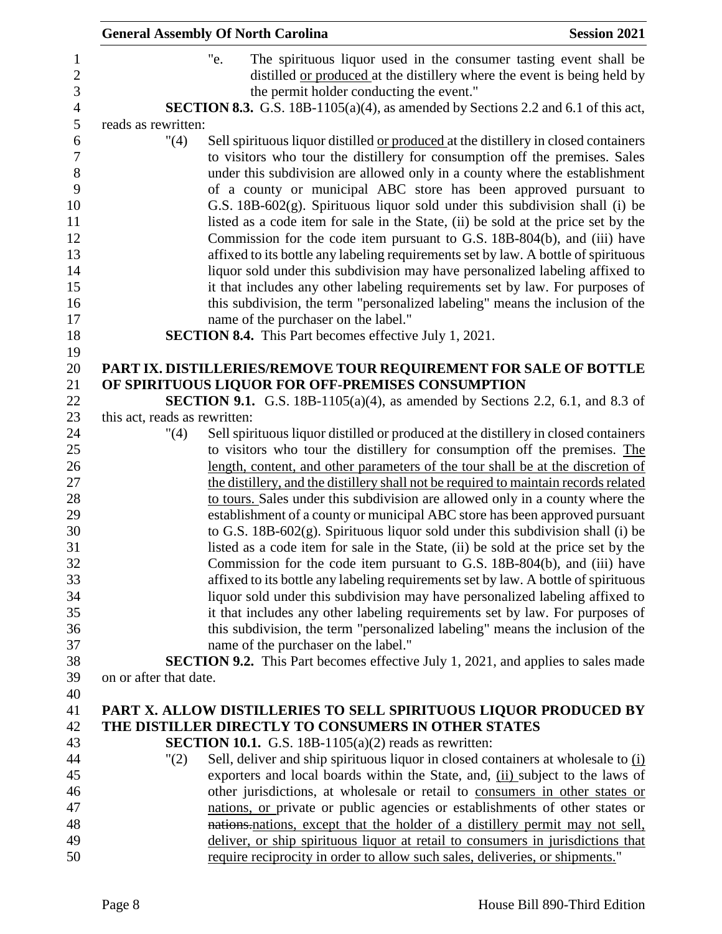|                                       | <b>General Assembly Of North Carolina</b>                                                                                                                                                                                                                                                                                                                                                                                                                                                                                                                             | <b>Session 2021</b> |
|---------------------------------------|-----------------------------------------------------------------------------------------------------------------------------------------------------------------------------------------------------------------------------------------------------------------------------------------------------------------------------------------------------------------------------------------------------------------------------------------------------------------------------------------------------------------------------------------------------------------------|---------------------|
|                                       | "e.<br>The spirituous liquor used in the consumer tasting event shall be<br>distilled <u>or produced</u> at the distillery where the event is being held by<br>the permit holder conducting the event."                                                                                                                                                                                                                                                                                                                                                               |                     |
|                                       | SECTION 8.3. G.S. 18B-1105(a)(4), as amended by Sections 2.2 and 6.1 of this act,                                                                                                                                                                                                                                                                                                                                                                                                                                                                                     |                     |
| reads as rewritten:                   |                                                                                                                                                                                                                                                                                                                                                                                                                                                                                                                                                                       |                     |
| "(4)                                  | Sell spirituous liquor distilled or produced at the distillery in closed containers<br>to visitors who tour the distillery for consumption off the premises. Sales<br>under this subdivision are allowed only in a county where the establishment<br>of a county or municipal ABC store has been approved pursuant to<br>G.S. 18B-602(g). Spirituous liquor sold under this subdivision shall (i) be<br>listed as a code item for sale in the State, (ii) be sold at the price set by the<br>Commission for the code item pursuant to G.S. 18B-804(b), and (iii) have |                     |
|                                       | affixed to its bottle any labeling requirements set by law. A bottle of spirituous                                                                                                                                                                                                                                                                                                                                                                                                                                                                                    |                     |
|                                       | liquor sold under this subdivision may have personalized labeling affixed to                                                                                                                                                                                                                                                                                                                                                                                                                                                                                          |                     |
|                                       | it that includes any other labeling requirements set by law. For purposes of                                                                                                                                                                                                                                                                                                                                                                                                                                                                                          |                     |
|                                       | this subdivision, the term "personalized labeling" means the inclusion of the                                                                                                                                                                                                                                                                                                                                                                                                                                                                                         |                     |
|                                       | name of the purchaser on the label."                                                                                                                                                                                                                                                                                                                                                                                                                                                                                                                                  |                     |
|                                       | <b>SECTION 8.4.</b> This Part becomes effective July 1, 2021.                                                                                                                                                                                                                                                                                                                                                                                                                                                                                                         |                     |
|                                       |                                                                                                                                                                                                                                                                                                                                                                                                                                                                                                                                                                       |                     |
|                                       | PART IX. DISTILLERIES/REMOVE TOUR REQUIREMENT FOR SALE OF BOTTLE                                                                                                                                                                                                                                                                                                                                                                                                                                                                                                      |                     |
|                                       | OF SPIRITUOUS LIQUOR FOR OFF-PREMISES CONSUMPTION                                                                                                                                                                                                                                                                                                                                                                                                                                                                                                                     |                     |
|                                       | <b>SECTION 9.1.</b> G.S. 18B-1105(a)(4), as amended by Sections 2.2, 6.1, and 8.3 of                                                                                                                                                                                                                                                                                                                                                                                                                                                                                  |                     |
| this act, reads as rewritten:<br>"(4) | Sell spirituous liquor distilled or produced at the distillery in closed containers                                                                                                                                                                                                                                                                                                                                                                                                                                                                                   |                     |
|                                       | to visitors who tour the distillery for consumption off the premises. The                                                                                                                                                                                                                                                                                                                                                                                                                                                                                             |                     |
|                                       | length, content, and other parameters of the tour shall be at the discretion of                                                                                                                                                                                                                                                                                                                                                                                                                                                                                       |                     |
|                                       | the distillery, and the distillery shall not be required to maintain records related                                                                                                                                                                                                                                                                                                                                                                                                                                                                                  |                     |
|                                       | to tours. Sales under this subdivision are allowed only in a county where the                                                                                                                                                                                                                                                                                                                                                                                                                                                                                         |                     |
|                                       | establishment of a county or municipal ABC store has been approved pursuant                                                                                                                                                                                                                                                                                                                                                                                                                                                                                           |                     |
|                                       | to G.S. $18B-602(g)$ . Spirituous liquor sold under this subdivision shall (i) be                                                                                                                                                                                                                                                                                                                                                                                                                                                                                     |                     |
|                                       | listed as a code item for sale in the State, (ii) be sold at the price set by the                                                                                                                                                                                                                                                                                                                                                                                                                                                                                     |                     |
|                                       | Commission for the code item pursuant to G.S. 18B-804(b), and (iii) have                                                                                                                                                                                                                                                                                                                                                                                                                                                                                              |                     |
|                                       | affixed to its bottle any labeling requirements set by law. A bottle of spirituous                                                                                                                                                                                                                                                                                                                                                                                                                                                                                    |                     |
|                                       | liquor sold under this subdivision may have personalized labeling affixed to                                                                                                                                                                                                                                                                                                                                                                                                                                                                                          |                     |
|                                       | it that includes any other labeling requirements set by law. For purposes of                                                                                                                                                                                                                                                                                                                                                                                                                                                                                          |                     |
|                                       | this subdivision, the term "personalized labeling" means the inclusion of the                                                                                                                                                                                                                                                                                                                                                                                                                                                                                         |                     |
|                                       | name of the purchaser on the label."                                                                                                                                                                                                                                                                                                                                                                                                                                                                                                                                  |                     |
|                                       | <b>SECTION 9.2.</b> This Part becomes effective July 1, 2021, and applies to sales made                                                                                                                                                                                                                                                                                                                                                                                                                                                                               |                     |
| on or after that date.                |                                                                                                                                                                                                                                                                                                                                                                                                                                                                                                                                                                       |                     |
|                                       |                                                                                                                                                                                                                                                                                                                                                                                                                                                                                                                                                                       |                     |
|                                       | PART X. ALLOW DISTILLERIES TO SELL SPIRITUOUS LIQUOR PRODUCED BY                                                                                                                                                                                                                                                                                                                                                                                                                                                                                                      |                     |
|                                       | THE DISTILLER DIRECTLY TO CONSUMERS IN OTHER STATES                                                                                                                                                                                                                                                                                                                                                                                                                                                                                                                   |                     |
|                                       | <b>SECTION 10.1.</b> G.S. 18B-1105(a)(2) reads as rewritten:                                                                                                                                                                                                                                                                                                                                                                                                                                                                                                          |                     |
| "(2)                                  | Sell, deliver and ship spirituous liquor in closed containers at wholesale to $(i)$<br>exporters and local boards within the State, and, (ii) subject to the laws of                                                                                                                                                                                                                                                                                                                                                                                                  |                     |
|                                       | other jurisdictions, at wholesale or retail to consumers in other states or                                                                                                                                                                                                                                                                                                                                                                                                                                                                                           |                     |
|                                       | nations, or private or public agencies or establishments of other states or                                                                                                                                                                                                                                                                                                                                                                                                                                                                                           |                     |
|                                       | nations nations, except that the holder of a distillery permit may not sell,                                                                                                                                                                                                                                                                                                                                                                                                                                                                                          |                     |
|                                       | deliver, or ship spirituous liquor at retail to consumers in jurisdictions that                                                                                                                                                                                                                                                                                                                                                                                                                                                                                       |                     |
|                                       | require reciprocity in order to allow such sales, deliveries, or shipments."                                                                                                                                                                                                                                                                                                                                                                                                                                                                                          |                     |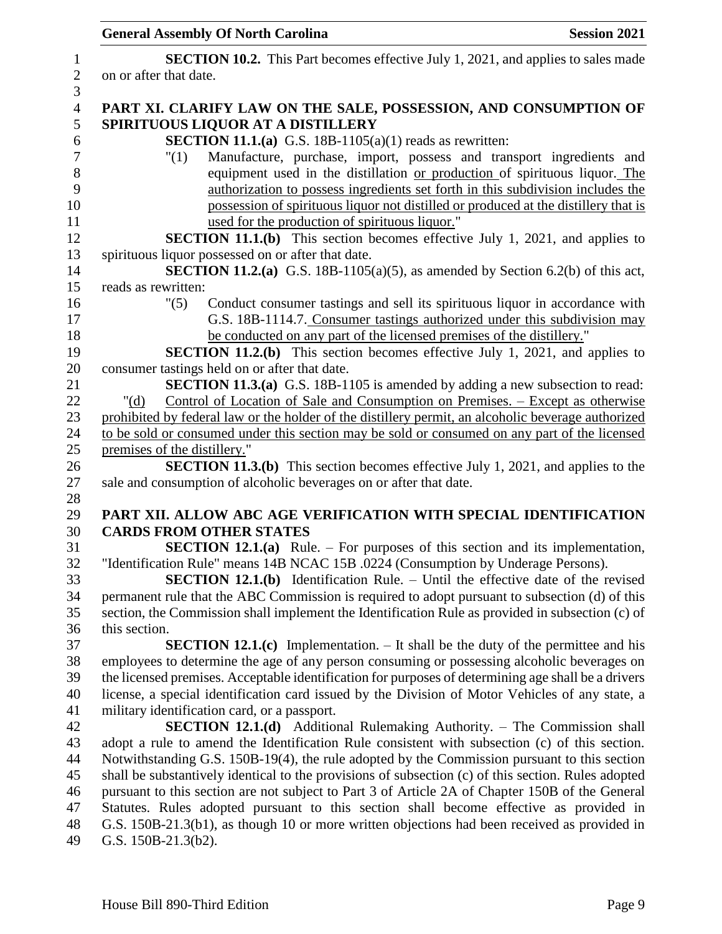| <b>General Assembly Of North Carolina</b><br><b>Session 2021</b>                                                                                              |
|---------------------------------------------------------------------------------------------------------------------------------------------------------------|
| <b>SECTION 10.2.</b> This Part becomes effective July 1, 2021, and applies to sales made<br>on or after that date.                                            |
| PART XI. CLARIFY LAW ON THE SALE, POSSESSION, AND CONSUMPTION OF<br>SPIRITUOUS LIQUOR AT A DISTILLERY                                                         |
| <b>SECTION 11.1.(a)</b> G.S. 18B-1105(a)(1) reads as rewritten:                                                                                               |
| Manufacture, purchase, import, possess and transport ingredients and<br>"(1)                                                                                  |
| equipment used in the distillation or production of spirituous liquor. The<br>authorization to possess ingredients set forth in this subdivision includes the |
| possession of spirituous liquor not distilled or produced at the distillery that is                                                                           |
| used for the production of spirituous liquor."                                                                                                                |
| <b>SECTION 11.1.(b)</b> This section becomes effective July 1, 2021, and applies to                                                                           |
| spirituous liquor possessed on or after that date.                                                                                                            |
| <b>SECTION 11.2.(a)</b> G.S. 18B-1105(a)(5), as amended by Section 6.2(b) of this act,                                                                        |
| reads as rewritten:                                                                                                                                           |
| Conduct consumer tastings and sell its spirituous liquor in accordance with<br>"(5)                                                                           |
| G.S. 18B-1114.7. Consumer tastings authorized under this subdivision may                                                                                      |
| be conducted on any part of the licensed premises of the distillery."<br><b>SECTION 11.2.(b)</b> This section becomes effective July 1, 2021, and applies to  |
| consumer tastings held on or after that date.                                                                                                                 |
| <b>SECTION 11.3.(a)</b> G.S. 18B-1105 is amended by adding a new subsection to read:                                                                          |
| Control of Location of Sale and Consumption on Premises. - Except as otherwise                                                                                |
| " $(d)$<br>prohibited by federal law or the holder of the distillery permit, an alcoholic beverage authorized                                                 |
| to be sold or consumed under this section may be sold or consumed on any part of the licensed                                                                 |
| premises of the distillery."                                                                                                                                  |
| <b>SECTION 11.3.(b)</b> This section becomes effective July 1, 2021, and applies to the                                                                       |
| sale and consumption of alcoholic beverages on or after that date.                                                                                            |
|                                                                                                                                                               |
| PART XII. ALLOW ABC AGE VERIFICATION WITH SPECIAL IDENTIFICATION                                                                                              |
| <b>CARDS FROM OTHER STATES</b>                                                                                                                                |
| <b>SECTION 12.1.(a)</b> Rule. – For purposes of this section and its implementation,                                                                          |
| "Identification Rule" means 14B NCAC 15B .0224 (Consumption by Underage Persons).                                                                             |
| <b>SECTION 12.1.(b)</b> Identification Rule. – Until the effective date of the revised                                                                        |
| permanent rule that the ABC Commission is required to adopt pursuant to subsection (d) of this                                                                |
| section, the Commission shall implement the Identification Rule as provided in subsection (c) of                                                              |
| this section.                                                                                                                                                 |
| <b>SECTION 12.1.(c)</b> Implementation. $-$ It shall be the duty of the permittee and his                                                                     |
| employees to determine the age of any person consuming or possessing alcoholic beverages on                                                                   |
| the licensed premises. Acceptable identification for purposes of determining age shall be a drivers                                                           |
| license, a special identification card issued by the Division of Motor Vehicles of any state, a                                                               |
| military identification card, or a passport.                                                                                                                  |
| <b>SECTION 12.1.(d)</b> Additional Rulemaking Authority. - The Commission shall                                                                               |
| adopt a rule to amend the Identification Rule consistent with subsection (c) of this section.                                                                 |
| Notwithstanding G.S. 150B-19(4), the rule adopted by the Commission pursuant to this section                                                                  |
| shall be substantively identical to the provisions of subsection (c) of this section. Rules adopted                                                           |
| pursuant to this section are not subject to Part 3 of Article 2A of Chapter 150B of the General                                                               |
| Statutes. Rules adopted pursuant to this section shall become effective as provided in                                                                        |
| G.S. 150B-21.3(b1), as though 10 or more written objections had been received as provided in                                                                  |
| G.S. $150B-21.3(b2)$ .                                                                                                                                        |
|                                                                                                                                                               |